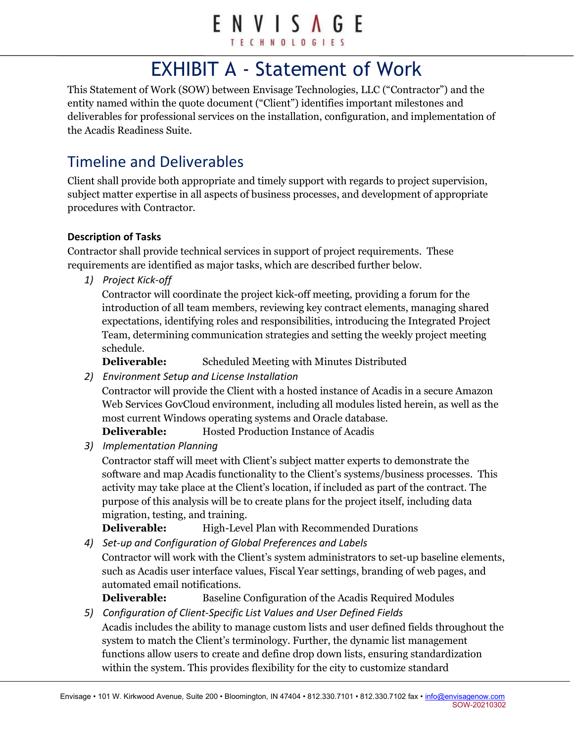# ENVISAGE

TECHNOLOGIE

## EXHIBIT A - Statement of Work

This Statement of Work (SOW) between Envisage Technologies, LLC ("Contractor") and the entity named within the quote document ("Client") identifies important milestones and deliverables for professional services on the installation, configuration, and implementation of the Acadis Readiness Suite.

## Timeline and Deliverables

Client shall provide both appropriate and timely support with regards to project supervision, subject matter expertise in all aspects of business processes, and development of appropriate procedures with Contractor.

#### Description of Tasks

Contractor shall provide technical services in support of project requirements. These requirements are identified as major tasks, which are described further below.

1) Project Kick-off

Contractor will coordinate the project kick-off meeting, providing a forum for the introduction of all team members, reviewing key contract elements, managing shared expectations, identifying roles and responsibilities, introducing the Integrated Project Team, determining communication strategies and setting the weekly project meeting schedule.

Deliverable: Scheduled Meeting with Minutes Distributed

2) Environment Setup and License Installation

Contractor will provide the Client with a hosted instance of Acadis in a secure Amazon Web Services GovCloud environment, including all modules listed herein, as well as the most current Windows operating systems and Oracle database.

Deliverable: Hosted Production Instance of Acadis

3) Implementation Planning

Contractor staff will meet with Client's subject matter experts to demonstrate the software and map Acadis functionality to the Client's systems/business processes. This activity may take place at the Client's location, if included as part of the contract. The purpose of this analysis will be to create plans for the project itself, including data migration, testing, and training.

**Deliverable:** High-Level Plan with Recommended Durations

4) Set-up and Configuration of Global Preferences and Labels

Contractor will work with the Client's system administrators to set-up baseline elements, such as Acadis user interface values, Fiscal Year settings, branding of web pages, and automated email notifications.

**Deliverable:** Baseline Configuration of the Acadis Required Modules

5) Configuration of Client-Specific List Values and User Defined Fields Acadis includes the ability to manage custom lists and user defined fields throughout the system to match the Client's terminology. Further, the dynamic list management functions allow users to create and define drop down lists, ensuring standardization within the system. This provides flexibility for the city to customize standard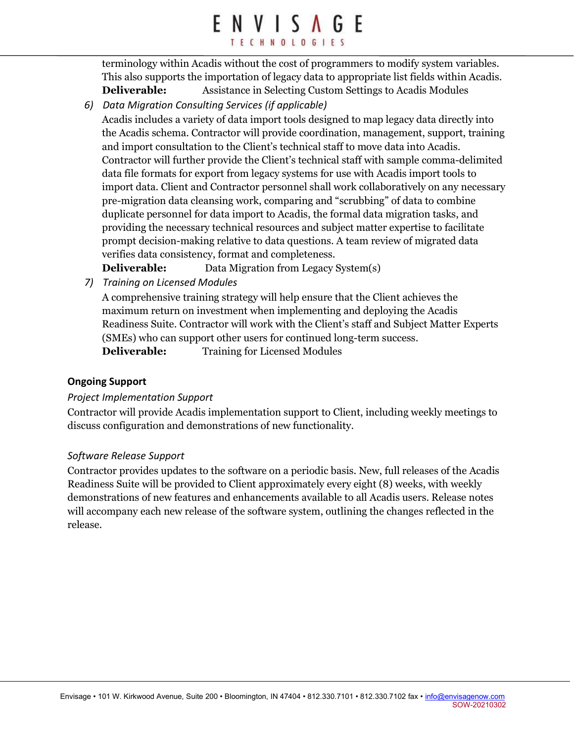## ENVISAGE TECHNOLOGIES

terminology within Acadis without the cost of programmers to modify system variables. This also supports the importation of legacy data to appropriate list fields within Acadis. Deliverable: Assistance in Selecting Custom Settings to Acadis Modules

6) Data Migration Consulting Services (if applicable)

Acadis includes a variety of data import tools designed to map legacy data directly into the Acadis schema. Contractor will provide coordination, management, support, training and import consultation to the Client's technical staff to move data into Acadis. Contractor will further provide the Client's technical staff with sample comma-delimited data file formats for export from legacy systems for use with Acadis import tools to import data. Client and Contractor personnel shall work collaboratively on any necessary pre-migration data cleansing work, comparing and "scrubbing" of data to combine duplicate personnel for data import to Acadis, the formal data migration tasks, and providing the necessary technical resources and subject matter expertise to facilitate prompt decision-making relative to data questions. A team review of migrated data verifies data consistency, format and completeness.

Deliverable: Data Migration from Legacy System(s)

7) Training on Licensed Modules

A comprehensive training strategy will help ensure that the Client achieves the maximum return on investment when implementing and deploying the Acadis Readiness Suite. Contractor will work with the Client's staff and Subject Matter Experts (SMEs) who can support other users for continued long-term success. Deliverable: Training for Licensed Modules

#### Ongoing Support

#### Project Implementation Support

Contractor will provide Acadis implementation support to Client, including weekly meetings to discuss configuration and demonstrations of new functionality.

#### Software Release Support

Contractor provides updates to the software on a periodic basis. New, full releases of the Acadis Readiness Suite will be provided to Client approximately every eight (8) weeks, with weekly demonstrations of new features and enhancements available to all Acadis users. Release notes will accompany each new release of the software system, outlining the changes reflected in the release.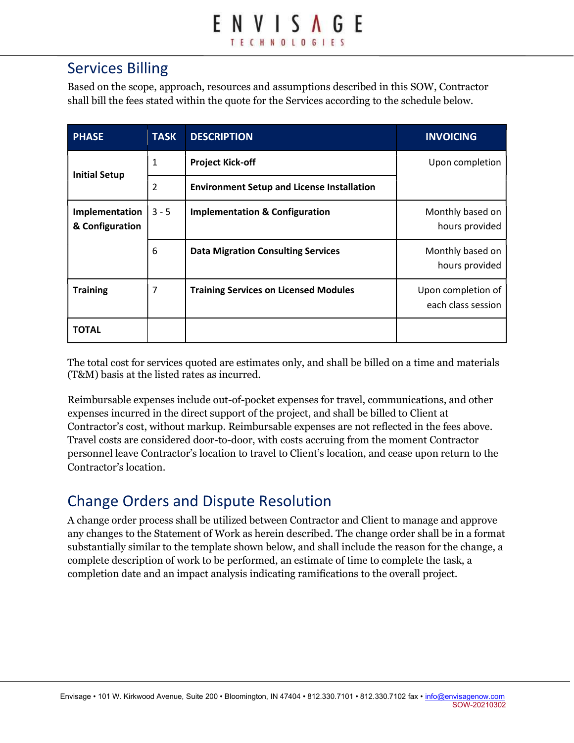## Services Billing

Based on the scope, approach, resources and assumptions described in this SOW, Contractor shall bill the fees stated within the quote for the Services according to the schedule below.

| <b>PHASE</b>                      | <b>TASK</b> | <b>DESCRIPTION</b>                                | <b>INVOICING</b>                         |
|-----------------------------------|-------------|---------------------------------------------------|------------------------------------------|
| <b>Initial Setup</b>              | 1           | <b>Project Kick-off</b>                           | Upon completion                          |
|                                   | 2           | <b>Environment Setup and License Installation</b> |                                          |
| Implementation<br>& Configuration | $3 - 5$     | <b>Implementation &amp; Configuration</b>         | Monthly based on<br>hours provided       |
|                                   | 6           | <b>Data Migration Consulting Services</b>         | Monthly based on<br>hours provided       |
| <b>Training</b>                   | 7           | <b>Training Services on Licensed Modules</b>      | Upon completion of<br>each class session |
| <b>TOTAL</b>                      |             |                                                   |                                          |

The total cost for services quoted are estimates only, and shall be billed on a time and materials (T&M) basis at the listed rates as incurred.

Reimbursable expenses include out-of-pocket expenses for travel, communications, and other expenses incurred in the direct support of the project, and shall be billed to Client at Contractor's cost, without markup. Reimbursable expenses are not reflected in the fees above. Travel costs are considered door-to-door, with costs accruing from the moment Contractor personnel leave Contractor's location to travel to Client's location, and cease upon return to the Contractor's location.

## Change Orders and Dispute Resolution

A change order process shall be utilized between Contractor and Client to manage and approve any changes to the Statement of Work as herein described. The change order shall be in a format substantially similar to the template shown below, and shall include the reason for the change, a complete description of work to be performed, an estimate of time to complete the task, a completion date and an impact analysis indicating ramifications to the overall project.